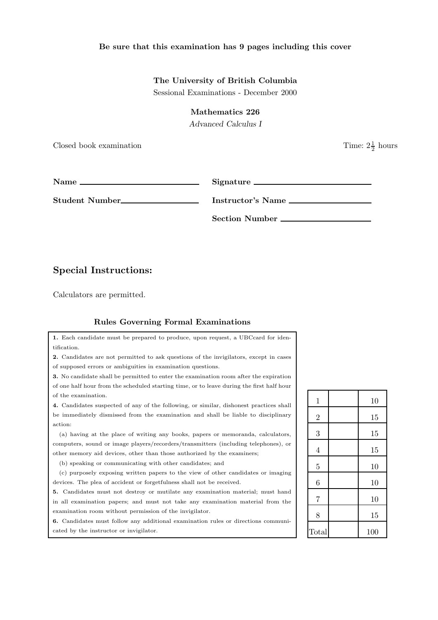## Be sure that this examination has 9 pages including this cover

## The University of British Columbia

Sessional Examinations - December 2000

Mathematics 226

Advanced Calculus I

Closed book examination

 $\frac{1}{2}$  hours

Name Signature

Student Number<br>
<u>Instructor's Name</u>

Section Number

## Special Instructions:

Calculators are permitted.

## Rules Governing Formal Examinations

1. Each candidate must be prepared to produce, upon request, a UBCcard for identification.

2. Candidates are not permitted to ask questions of the invigilators, except in cases of supposed errors or ambiguities in examination questions.

3. No candidate shall be permitted to enter the examination room after the expiration of one half hour from the scheduled starting time, or to leave during the first half hour of the examination.

4. Candidates suspected of any of the following, or similar, dishonest practices shall be immediately dismissed from the examination and shall be liable to disciplinary action:

(a) having at the place of writing any books, papers or memoranda, calculators, computers, sound or image players/recorders/transmitters (including telephones), or other memory aid devices, other than those authorized by the examiners;

(b) speaking or communicating with other candidates; and

(c) purposely exposing written papers to the view of other candidates or imaging devices. The plea of accident or forgetfulness shall not be received.

5. Candidates must not destroy or mutilate any examination material; must hand in all examination papers; and must not take any examination material from the examination room without permission of the invigilator.

6. Candidates must follow any additional examination rules or directions communicated by the instructor or invigilator.

| $\mathbf{1}$   | 10  |
|----------------|-----|
| $\sqrt{2}$     | 15  |
| 3              | 15  |
| $\overline{4}$ | 15  |
| $\overline{5}$ | 10  |
| 6              | 10  |
| $\overline{7}$ | 10  |
| 8              | 15  |
| Total          | 100 |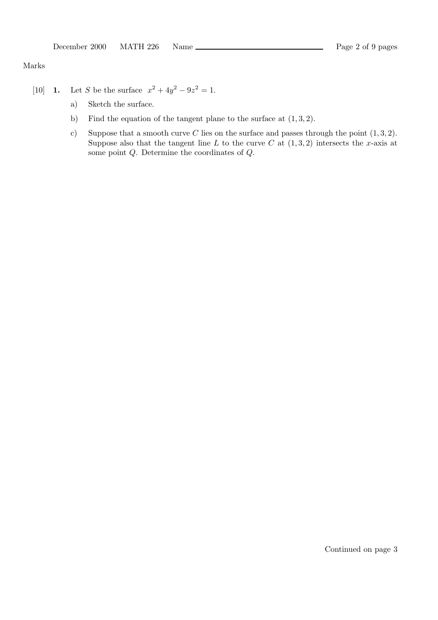Marks

- [10] **1.** Let S be the surface  $x^2 + 4y^2 9z^2 = 1$ .
	- a) Sketch the surface.
	- b) Find the equation of the tangent plane to the surface at  $(1, 3, 2)$ .
	- c) Suppose that a smooth curve C lies on the surface and passes through the point  $(1, 3, 2)$ . Suppose also that the tangent line L to the curve C at  $(1,3,2)$  intersects the x-axis at some point Q. Determine the coordinates of Q.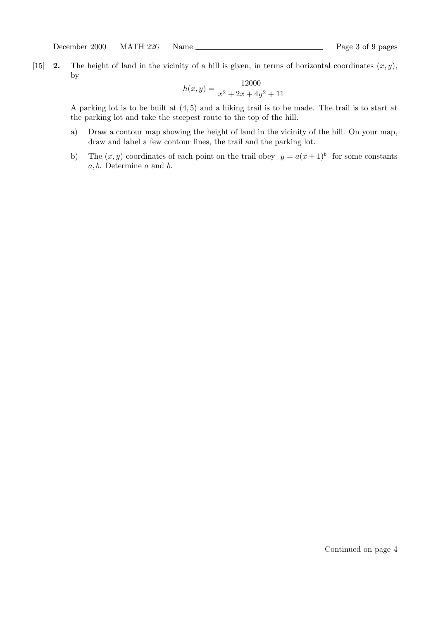[15] **2.** The height of land in the vicinity of a hill is given, in terms of horizontal coordinates  $(x, y)$ , by

$$
h(x,y) = \frac{12000}{x^2 + 2x + 4y^2 + 11}
$$

A parking lot is to be built at (4, 5) and a hiking trail is to be made. The trail is to start at the parking lot and take the steepest route to the top of the hill.

- a) Draw a contour map showing the height of land in the vicinity of the hill. On your map, draw and label a few contour lines, the trail and the parking lot.
- b) The  $(x, y)$  coordinates of each point on the trail obey  $y = a(x+1)^b$  for some constants a, b. Determine a and b.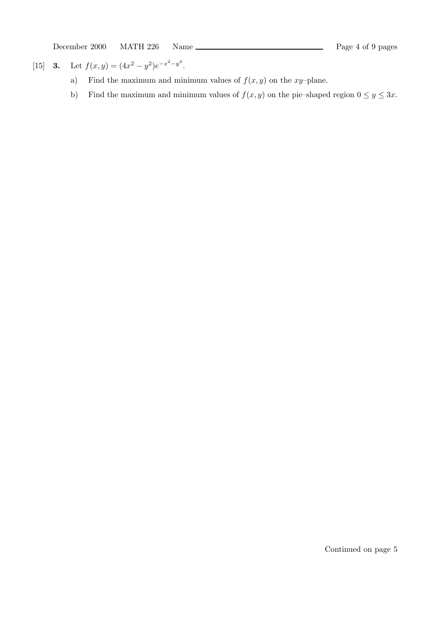December 2000 MATH 226 Name <u>estimate and the control of</u> Page 4 of 9 pages

[15] **3.** Let  $f(x,y) = (4x^2 - y^2)e^{-x^2 - y^2}$ .

- a) Find the maximum and minimum values of  $f(x, y)$  on the  $xy$ –plane.
- b) Find the maximum and minimum values of  $f(x, y)$  on the pie–shaped region  $0 \le y \le 3x$ .

Continued on page 5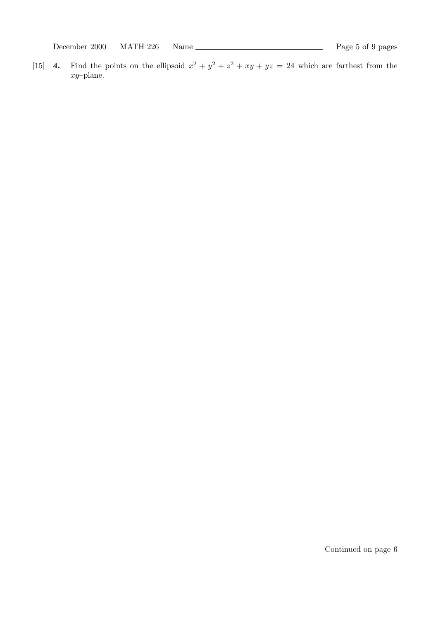December 2000 MATH 226 Name <u>estimate and the control of</u> Page 5 of 9 pages

[15] **4.** Find the points on the ellipsoid  $x^2 + y^2 + z^2 + xy + yz = 24$  which are farthest from the xy–plane.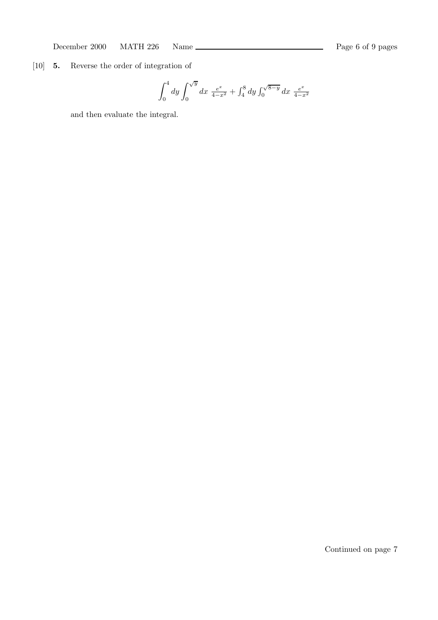December 2000 MATH 226 Name <u>Constantine and the Page 6 of 9</u> pages

[10] 5. Reverse the order of integration of

$$
\int_0^4 dy \int_0^{\sqrt{y}} dx \frac{e^x}{4-x^2} + \int_4^8 dy \int_0^{\sqrt{8-y}} dx \frac{e^x}{4-x^2}
$$

and then evaluate the integral.

Continued on page 7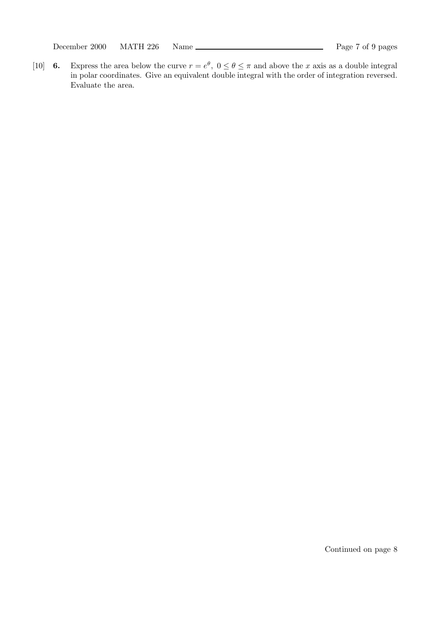December 2000 MATH 226 Name Page 7 of 9 pages

[10] 6. Express the area below the curve  $r = e^{\theta}$ ,  $0 \le \theta \le \pi$  and above the x axis as a double integral in polar coordinates. Give an equivalent double integral with the order of integration reversed. Evaluate the area.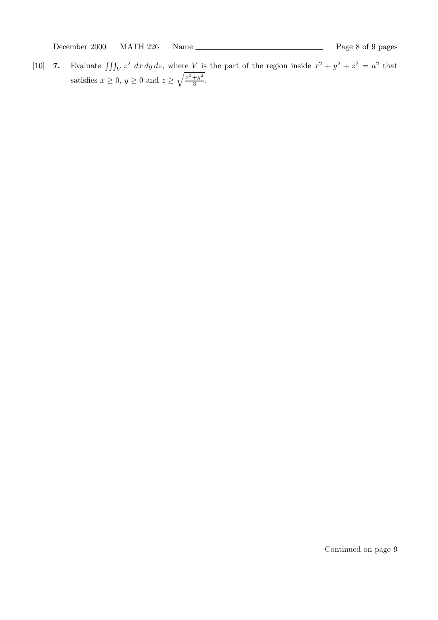December 2000 MATH 226 Name <u>Constantine and the Page 8 of 9</u> pages

[10] 7. Evaluate  $\iiint_V z^2 dx dy dz$ , where V is the part of the region inside  $x^2 + y^2 + z^2 = a^2$  that satisfies  $x \geq 0$ ,  $y \geq 0$  and  $z \geq \sqrt{\frac{x^2+y^2}{3}}$  $rac{+y}{3}$ .